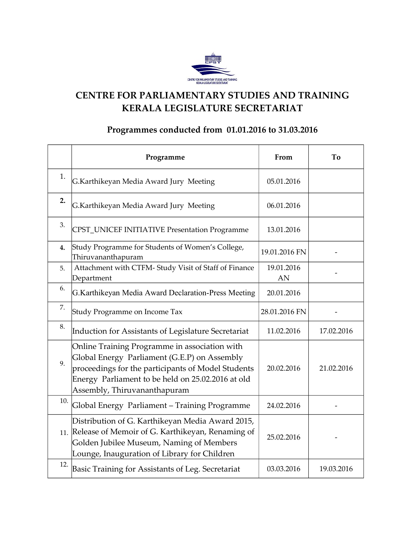

### **CENTRE FOR PARLIAMENTARY STUDIES AND TRAINING KERALA LEGISLATURE SECRETARIAT**

#### **Programmes conducted from 01.01.2016 to 31.03.2016**

|     | Programme                                                                                                                                                                                                                                | From             | To         |
|-----|------------------------------------------------------------------------------------------------------------------------------------------------------------------------------------------------------------------------------------------|------------------|------------|
| 1.  | G.Karthikeyan Media Award Jury Meeting                                                                                                                                                                                                   | 05.01.2016       |            |
| 2.  | G.Karthikeyan Media Award Jury Meeting                                                                                                                                                                                                   | 06.01.2016       |            |
| 3.  | CPST_UNICEF INITIATIVE Presentation Programme                                                                                                                                                                                            | 13.01.2016       |            |
| 4.  | Study Programme for Students of Women's College,<br>Thiruvananthapuram                                                                                                                                                                   | 19.01.2016 FN    |            |
| 5.  | Attachment with CTFM- Study Visit of Staff of Finance<br>Department                                                                                                                                                                      | 19.01.2016<br>AN |            |
| 6.  | G.Karthikeyan Media Award Declaration-Press Meeting                                                                                                                                                                                      | 20.01.2016       |            |
| 7.  | Study Programme on Income Tax                                                                                                                                                                                                            | 28.01.2016 FN    |            |
| 8.  | Induction for Assistants of Legislature Secretariat                                                                                                                                                                                      | 11.02.2016       | 17.02.2016 |
| 9.  | Online Training Programme in association with<br>Global Energy Parliament (G.E.P) on Assembly<br>proceedings for the participants of Model Students<br>Energy Parliament to be held on 25.02.2016 at old<br>Assembly, Thiruvananthapuram | 20.02.2016       | 21.02.2016 |
| 10. | Global Energy Parliament - Training Programme                                                                                                                                                                                            | 24.02.2016       |            |
|     | Distribution of G. Karthikeyan Media Award 2015,<br>11. Release of Memoir of G. Karthikeyan, Renaming of<br>Golden Jubilee Museum, Naming of Members<br>Lounge, Inauguration of Library for Children                                     | 25.02.2016       |            |
| 12. | Basic Training for Assistants of Leg. Secretariat                                                                                                                                                                                        | 03.03.2016       | 19.03.2016 |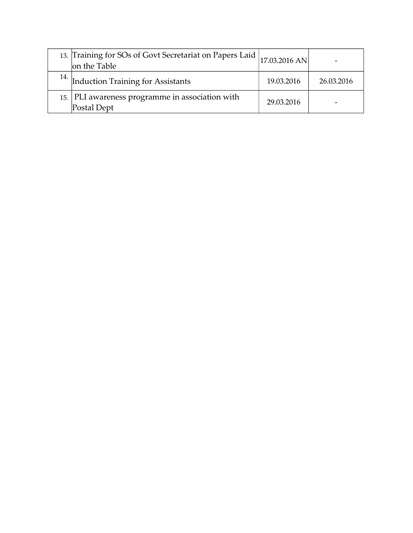| 13. Training for SOs of Govt Secretariat on Papers Laid  17.03.2016 AN<br>on the Table |            |            |
|----------------------------------------------------------------------------------------|------------|------------|
| <sup>14.</sup> Induction Training for Assistants                                       | 19.03.2016 | 26.03.2016 |
| 15. PLI awareness programme in association with<br>Postal Dept                         | 29.03.2016 |            |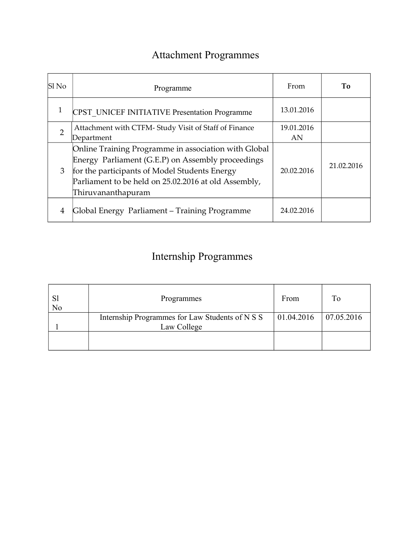## Attachment Programmes

| Sl No          | Programme                                                                                                                                                                                                                                | From       | To         |
|----------------|------------------------------------------------------------------------------------------------------------------------------------------------------------------------------------------------------------------------------------------|------------|------------|
|                | <b>CPST UNICEF INITIATIVE Presentation Programme</b>                                                                                                                                                                                     | 13.01.2016 |            |
| $\overline{2}$ | Attachment with CTFM- Study Visit of Staff of Finance                                                                                                                                                                                    | 19.01.2016 |            |
|                | Department                                                                                                                                                                                                                               | AN         |            |
| 3              | Online Training Programme in association with Global<br>Energy Parliament (G.E.P) on Assembly proceedings<br>for the participants of Model Students Energy<br>Parliament to be held on 25.02.2016 at old Assembly,<br>Thiruvananthapuram | 20.02.2016 | 21.02.2016 |
| 4              | Global Energy Parliament – Training Programme                                                                                                                                                                                            | 24.02.2016 |            |

### Internship Programmes

| No | Programmes                                                     | From                  | To |
|----|----------------------------------------------------------------|-----------------------|----|
|    | Internship Programmes for Law Students of N S S<br>Law College | 01.04.2016 07.05.2016 |    |
|    |                                                                |                       |    |